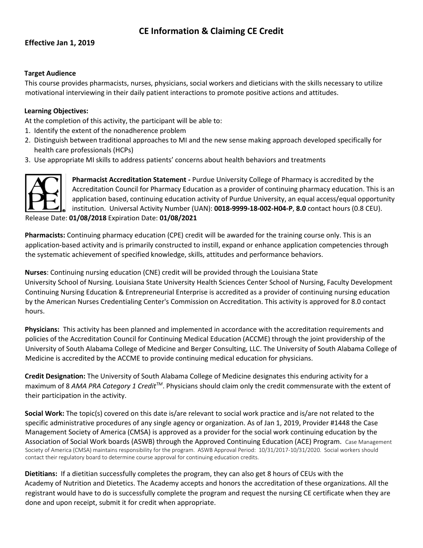# **CE Information & Claiming CE Credit**

# **Effective Jan 1, 2019**

# **Target Audience**

This course provides pharmacists, nurses, physicians, social workers and dieticians with the skills necessary to utilize motivational interviewing in their daily patient interactions to promote positive actions and attitudes.

### **Learning Objectives:**

At the completion of this activity, the participant will be able to:

- 1. Identify the extent of the nonadherence problem
- 2. Distinguish between traditional approaches to MI and the new sense making approach developed specifically for health care professionals (HCPs)
- 3. Use appropriate MI skills to address patients' concerns about health behaviors and treatments



**Pharmacist Accreditation Statement -** Purdue University College of Pharmacy is accredited by the Accreditation Council for Pharmacy Education as a provider of continuing pharmacy education. This is an application based, continuing education activity of Purdue University, an equal access/equal opportunity institution. Universal Activity Number (UAN): **0018-9999-18-002-H04-P**, **8.0** contact hours (0.8 CEU). Release Date: **01/08/2018** Expiration Date: **01/08/2021** 

**Pharmacists:** Continuing pharmacy education (CPE) credit will be awarded for the training course only. This is an application-based activity and is primarily constructed to instill, expand or enhance application competencies through the systematic achievement of specified knowledge, skills, attitudes and performance behaviors.

**Nurses**: Continuing nursing education (CNE) credit will be provided through the Louisiana State University School of Nursing. Louisiana State University Health Sciences Center School of Nursing, Faculty Development Continuing Nursing Education & Entrepreneurial Enterprise is accredited as a provider of continuing nursing education by the American Nurses Credentialing Center's Commission on Accreditation. This activity is approved for 8.0 contact hours.

**Physicians:** This activity has been planned and implemented in accordance with the accreditation requirements and policies of the Accreditation Council for Continuing Medical Education (ACCME) through the joint providership of the University of South Alabama College of Medicine and Berger Consulting, LLC. The University of South Alabama College of Medicine is accredited by the ACCME to provide continuing medical education for physicians.

**Credit Designation:** The University of South Alabama College of Medicine designates this enduring activity for a maximum of 8 *AMA PRA Category 1 CreditTM*. Physicians should claim only the credit commensurate with the extent of their participation in the activity.

**Social Work:** The topic(s) covered on this date is/are relevant to social work practice and is/are not related to the specific administrative procedures of any single agency or organization. As of Jan 1, 2019, Provider #1448 the Case Management Society of America (CMSA) is approved as a provider for the social work continuing education by the Association of Social Work boards (ASWB) through the Approved Continuing Education (ACE) Program. Case Management Society of America (CMSA) maintains responsibility for the program. ASWB Approval Period: 10/31/2017-10/31/2020. Social workers should contact their regulatory board to determine course approval for continuing education credits.

**Dietitians:** If a dietitian successfully completes the program, they can also get 8 hours of CEUs with the Academy of Nutrition and Dietetics. The Academy accepts and honors the accreditation of these organizations. All the registrant would have to do is successfully complete the program and request the nursing CE certificate when they are done and upon receipt, submit it for credit when appropriate.